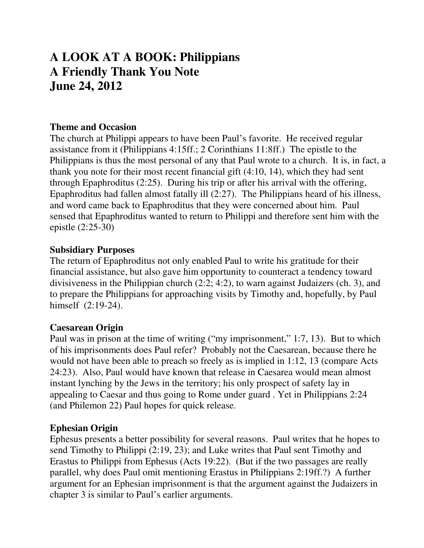# **A LOOK AT A BOOK: Philippians A Friendly Thank You Note June 24, 2012**

### **Theme and Occasion**

The church at Philippi appears to have been Paul's favorite. He received regular assistance from it (Philippians 4:15ff.; 2 Corinthians 11:8ff.) The epistle to the Philippians is thus the most personal of any that Paul wrote to a church. It is, in fact, a thank you note for their most recent financial gift (4:10, 14), which they had sent through Epaphroditus (2:25). During his trip or after his arrival with the offering, Epaphroditus had fallen almost fatally ill (2:27). The Philippians heard of his illness, and word came back to Epaphroditus that they were concerned about him. Paul sensed that Epaphroditus wanted to return to Philippi and therefore sent him with the epistle (2:25-30)

## **Subsidiary Purposes**

The return of Epaphroditus not only enabled Paul to write his gratitude for their financial assistance, but also gave him opportunity to counteract a tendency toward divisiveness in the Philippian church (2:2; 4:2), to warn against Judaizers (ch. 3), and to prepare the Philippians for approaching visits by Timothy and, hopefully, by Paul himself (2:19-24).

## **Caesarean Origin**

Paul was in prison at the time of writing ("my imprisonment," 1:7, 13). But to which of his imprisonments does Paul refer? Probably not the Caesarean, because there he would not have been able to preach so freely as is implied in 1:12, 13 (compare Acts 24:23). Also, Paul would have known that release in Caesarea would mean almost instant lynching by the Jews in the territory; his only prospect of safety lay in appealing to Caesar and thus going to Rome under guard . Yet in Philippians 2:24 (and Philemon 22) Paul hopes for quick release.

#### **Ephesian Origin**

Ephesus presents a better possibility for several reasons. Paul writes that he hopes to send Timothy to Philippi (2:19, 23); and Luke writes that Paul sent Timothy and Erastus to Philippi from Ephesus (Acts 19:22). (But if the two passages are really parallel, why does Paul omit mentioning Erastus in Philippians 2:19ff.?) A further argument for an Ephesian imprisonment is that the argument against the Judaizers in chapter 3 is similar to Paul's earlier arguments.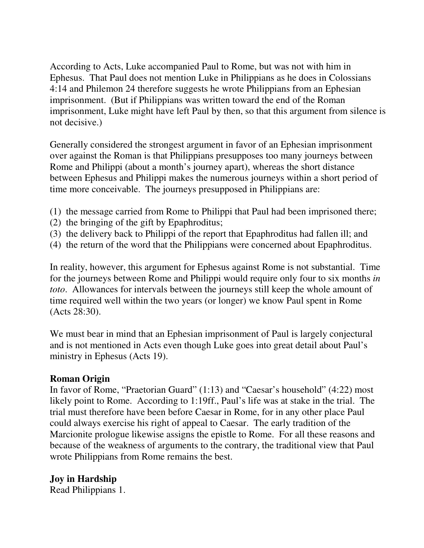According to Acts, Luke accompanied Paul to Rome, but was not with him in Ephesus. That Paul does not mention Luke in Philippians as he does in Colossians 4:14 and Philemon 24 therefore suggests he wrote Philippians from an Ephesian imprisonment. (But if Philippians was written toward the end of the Roman imprisonment, Luke might have left Paul by then, so that this argument from silence is not decisive.)

Generally considered the strongest argument in favor of an Ephesian imprisonment over against the Roman is that Philippians presupposes too many journeys between Rome and Philippi (about a month's journey apart), whereas the short distance between Ephesus and Philippi makes the numerous journeys within a short period of time more conceivable. The journeys presupposed in Philippians are:

- (1) the message carried from Rome to Philippi that Paul had been imprisoned there;
- (2) the bringing of the gift by Epaphroditus;
- (3) the delivery back to Philippi of the report that Epaphroditus had fallen ill; and
- (4) the return of the word that the Philippians were concerned about Epaphroditus.

In reality, however, this argument for Ephesus against Rome is not substantial. Time for the journeys between Rome and Philippi would require only four to six months *in toto*. Allowances for intervals between the journeys still keep the whole amount of time required well within the two years (or longer) we know Paul spent in Rome (Acts 28:30).

We must bear in mind that an Ephesian imprisonment of Paul is largely conjectural and is not mentioned in Acts even though Luke goes into great detail about Paul's ministry in Ephesus (Acts 19).

#### **Roman Origin**

In favor of Rome, "Praetorian Guard" (1:13) and "Caesar's household" (4:22) most likely point to Rome. According to 1:19ff., Paul's life was at stake in the trial. The trial must therefore have been before Caesar in Rome, for in any other place Paul could always exercise his right of appeal to Caesar. The early tradition of the Marcionite prologue likewise assigns the epistle to Rome. For all these reasons and because of the weakness of arguments to the contrary, the traditional view that Paul wrote Philippians from Rome remains the best.

**Joy in Hardship** 

Read Philippians 1.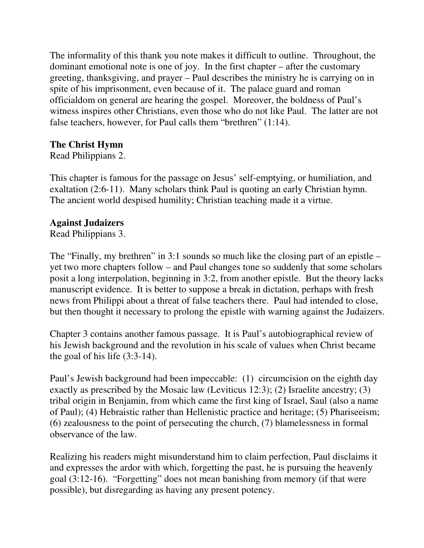The informality of this thank you note makes it difficult to outline. Throughout, the dominant emotional note is one of joy. In the first chapter – after the customary greeting, thanksgiving, and prayer – Paul describes the ministry he is carrying on in spite of his imprisonment, even because of it. The palace guard and roman officialdom on general are hearing the gospel. Moreover, the boldness of Paul's witness inspires other Christians, even those who do not like Paul. The latter are not false teachers, however, for Paul calls them "brethren" (1:14).

# **The Christ Hymn**

Read Philippians 2.

This chapter is famous for the passage on Jesus' self-emptying, or humiliation, and exaltation (2:6-11). Many scholars think Paul is quoting an early Christian hymn. The ancient world despised humility; Christian teaching made it a virtue.

## **Against Judaizers**

Read Philippians 3.

The "Finally, my brethren" in 3:1 sounds so much like the closing part of an epistle – yet two more chapters follow – and Paul changes tone so suddenly that some scholars posit a long interpolation, beginning in 3:2, from another epistle. But the theory lacks manuscript evidence. It is better to suppose a break in dictation, perhaps with fresh news from Philippi about a threat of false teachers there. Paul had intended to close, but then thought it necessary to prolong the epistle with warning against the Judaizers.

Chapter 3 contains another famous passage. It is Paul's autobiographical review of his Jewish background and the revolution in his scale of values when Christ became the goal of his life (3:3-14).

Paul's Jewish background had been impeccable: (1) circumcision on the eighth day exactly as prescribed by the Mosaic law (Leviticus 12:3); (2) Israelite ancestry; (3) tribal origin in Benjamin, from which came the first king of Israel, Saul (also a name of Paul); (4) Hebraistic rather than Hellenistic practice and heritage; (5) Phariseeism; (6) zealousness to the point of persecuting the church, (7) blamelessness in formal observance of the law.

Realizing his readers might misunderstand him to claim perfection, Paul disclaims it and expresses the ardor with which, forgetting the past, he is pursuing the heavenly goal (3:12-16). "Forgetting" does not mean banishing from memory (if that were possible), but disregarding as having any present potency.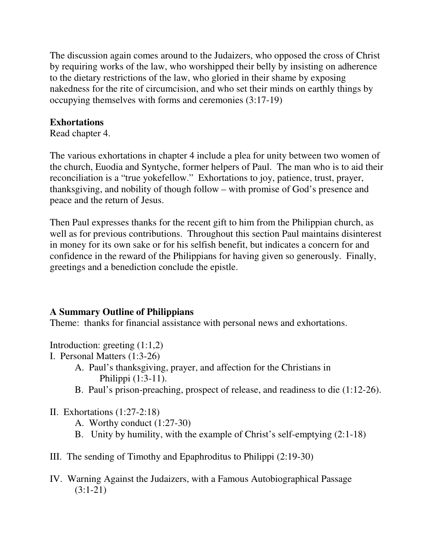The discussion again comes around to the Judaizers, who opposed the cross of Christ by requiring works of the law, who worshipped their belly by insisting on adherence to the dietary restrictions of the law, who gloried in their shame by exposing nakedness for the rite of circumcision, and who set their minds on earthly things by occupying themselves with forms and ceremonies (3:17-19)

## **Exhortations**

Read chapter 4.

The various exhortations in chapter 4 include a plea for unity between two women of the church, Euodia and Syntyche, former helpers of Paul. The man who is to aid their reconciliation is a "true yokefellow." Exhortations to joy, patience, trust, prayer, thanksgiving, and nobility of though follow – with promise of God's presence and peace and the return of Jesus.

Then Paul expresses thanks for the recent gift to him from the Philippian church, as well as for previous contributions. Throughout this section Paul maintains disinterest in money for its own sake or for his selfish benefit, but indicates a concern for and confidence in the reward of the Philippians for having given so generously. Finally, greetings and a benediction conclude the epistle.

# **A Summary Outline of Philippians**

Theme: thanks for financial assistance with personal news and exhortations.

Introduction: greeting (1:1,2)

- I. Personal Matters (1:3-26)
	- A. Paul's thanksgiving, prayer, and affection for the Christians in Philippi (1:3-11).
	- B. Paul's prison-preaching, prospect of release, and readiness to die (1:12-26).
- II. Exhortations (1:27-2:18)
	- A. Worthy conduct (1:27-30)
	- B. Unity by humility, with the example of Christ's self-emptying (2:1-18)
- III. The sending of Timothy and Epaphroditus to Philippi (2:19-30)
- IV. Warning Against the Judaizers, with a Famous Autobiographical Passage (3:1-21)